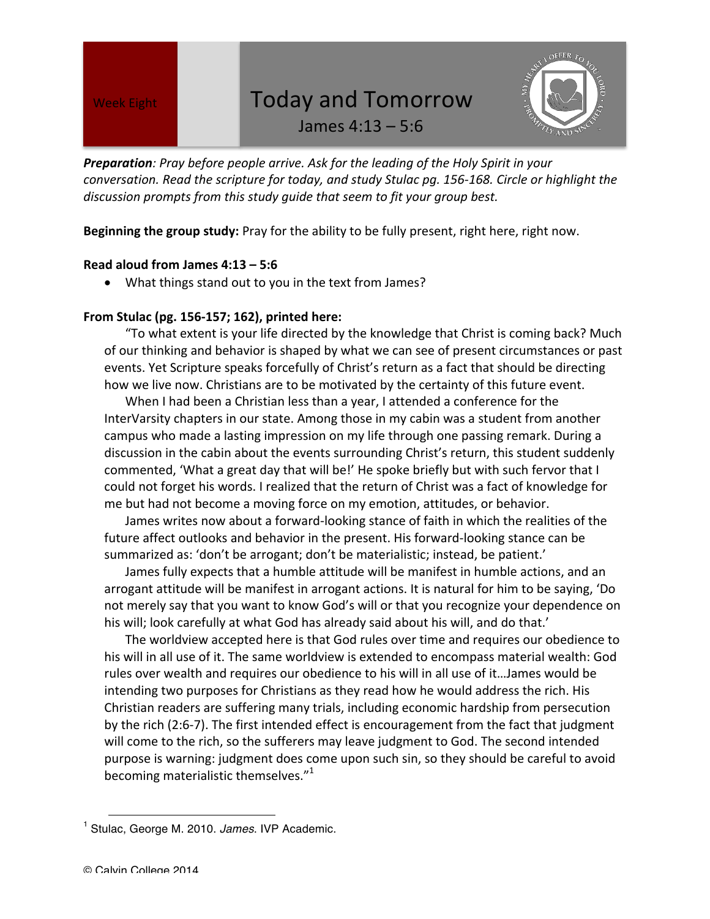## Week Eight **Today and Tomorrow**



James  $4:13 - 5:6$ 

**Preparation**: Pray before people arrive. Ask for the leading of the Holy Spirit in your *conversation.* Read the scripture for today, and study Stulac pq. 156-168. Circle or highlight the discussion prompts from this study quide that seem to fit your group best.

**Beginning the group study:** Pray for the ability to be fully present, right here, right now.

## **Read aloud from James 4:13 – 5:6**

• What things stand out to you in the text from James?

## **From Stulac (pg. 156-157; 162), printed here:**

"To what extent is your life directed by the knowledge that Christ is coming back? Much of our thinking and behavior is shaped by what we can see of present circumstances or past events. Yet Scripture speaks forcefully of Christ's return as a fact that should be directing how we live now. Christians are to be motivated by the certainty of this future event.

When I had been a Christian less than a year, I attended a conference for the InterVarsity chapters in our state. Among those in my cabin was a student from another campus who made a lasting impression on my life through one passing remark. During a discussion in the cabin about the events surrounding Christ's return, this student suddenly commented, 'What a great day that will be!' He spoke briefly but with such fervor that I could not forget his words. I realized that the return of Christ was a fact of knowledge for me but had not become a moving force on my emotion, attitudes, or behavior.

James writes now about a forward-looking stance of faith in which the realities of the future affect outlooks and behavior in the present. His forward-looking stance can be summarized as: 'don't be arrogant; don't be materialistic; instead, be patient.'

James fully expects that a humble attitude will be manifest in humble actions, and an arrogant attitude will be manifest in arrogant actions. It is natural for him to be saying, 'Do not merely say that you want to know God's will or that you recognize your dependence on his will; look carefully at what God has already said about his will, and do that.'

The worldview accepted here is that God rules over time and requires our obedience to his will in all use of it. The same worldview is extended to encompass material wealth: God rules over wealth and requires our obedience to his will in all use of it...James would be intending two purposes for Christians as they read how he would address the rich. His Christian readers are suffering many trials, including economic hardship from persecution by the rich (2:6-7). The first intended effect is encouragement from the fact that judgment will come to the rich, so the sufferers may leave judgment to God. The second intended purpose is warning: judgment does come upon such sin, so they should be careful to avoid becoming materialistic themselves." $^{1}$ 

 $\overline{a}$ 

<sup>1</sup> Stulac, George M. 2010. *James*. IVP Academic.